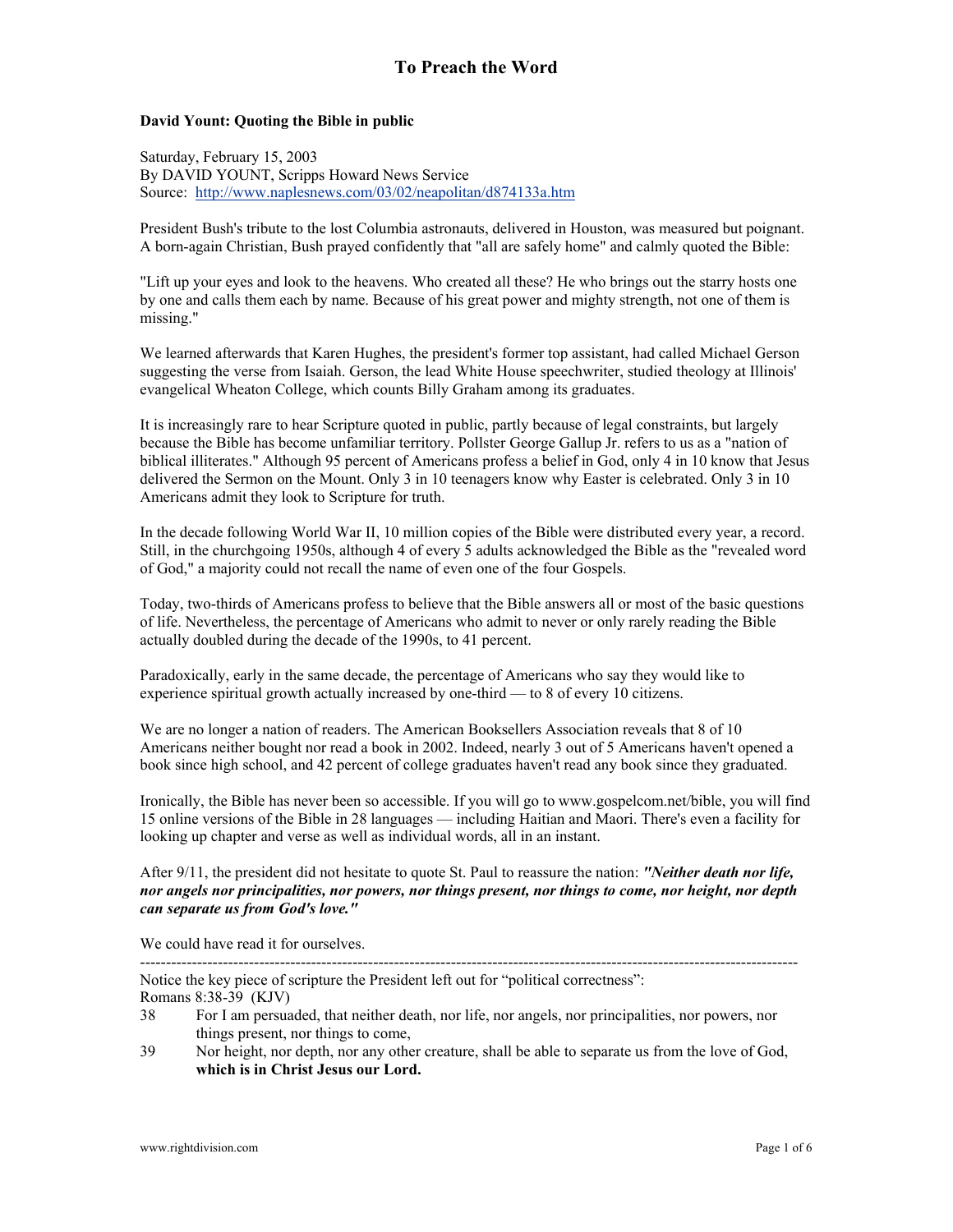### **David Yount: Quoting the Bible in public**

Saturday, February 15, 2003 By DAVID YOUNT, Scripps Howard News Service Source: <http://www.naplesnews.com/03/02/neapolitan/d874133a.htm>

President Bush's tribute to the lost Columbia astronauts, delivered in Houston, was measured but poignant. A born-again Christian, Bush prayed confidently that "all are safely home" and calmly quoted the Bible:

"Lift up your eyes and look to the heavens. Who created all these? He who brings out the starry hosts one by one and calls them each by name. Because of his great power and mighty strength, not one of them is missing."

We learned afterwards that Karen Hughes, the president's former top assistant, had called Michael Gerson suggesting the verse from Isaiah. Gerson, the lead White House speechwriter, studied theology at Illinois' evangelical Wheaton College, which counts Billy Graham among its graduates.

It is increasingly rare to hear Scripture quoted in public, partly because of legal constraints, but largely because the Bible has become unfamiliar territory. Pollster George Gallup Jr. refers to us as a "nation of biblical illiterates." Although 95 percent of Americans profess a belief in God, only 4 in 10 know that Jesus delivered the Sermon on the Mount. Only 3 in 10 teenagers know why Easter is celebrated. Only 3 in 10 Americans admit they look to Scripture for truth.

In the decade following World War II, 10 million copies of the Bible were distributed every year, a record. Still, in the churchgoing 1950s, although 4 of every 5 adults acknowledged the Bible as the "revealed word of God," a majority could not recall the name of even one of the four Gospels.

Today, two-thirds of Americans profess to believe that the Bible answers all or most of the basic questions of life. Nevertheless, the percentage of Americans who admit to never or only rarely reading the Bible actually doubled during the decade of the 1990s, to 41 percent.

Paradoxically, early in the same decade, the percentage of Americans who say they would like to experience spiritual growth actually increased by one-third — to 8 of every 10 citizens.

We are no longer a nation of readers. The American Booksellers Association reveals that 8 of 10 Americans neither bought nor read a book in 2002. Indeed, nearly 3 out of 5 Americans haven't opened a book since high school, and 42 percent of college graduates haven't read any book since they graduated.

Ironically, the Bible has never been so accessible. If you will go to www.gospelcom.net/bible, you will find 15 online versions of the Bible in 28 languages — including Haitian and Maori. There's even a facility for looking up chapter and verse as well as individual words, all in an instant.

After 9/11, the president did not hesitate to quote St. Paul to reassure the nation: *"Neither death nor life, nor angels nor principalities, nor powers, nor things present, nor things to come, nor height, nor depth can separate us from God's love."*

We could have read it for ourselves.

Notice the key piece of scripture the President left out for "political correctness":

-------------------------------------------------------------------------------------------------------------------------------

Romans 8:38-39 (KJV)

- 38 For I am persuaded, that neither death, nor life, nor angels, nor principalities, nor powers, nor things present, nor things to come,
- 39 Nor height, nor depth, nor any other creature, shall be able to separate us from the love of God, **which is in Christ Jesus our Lord.**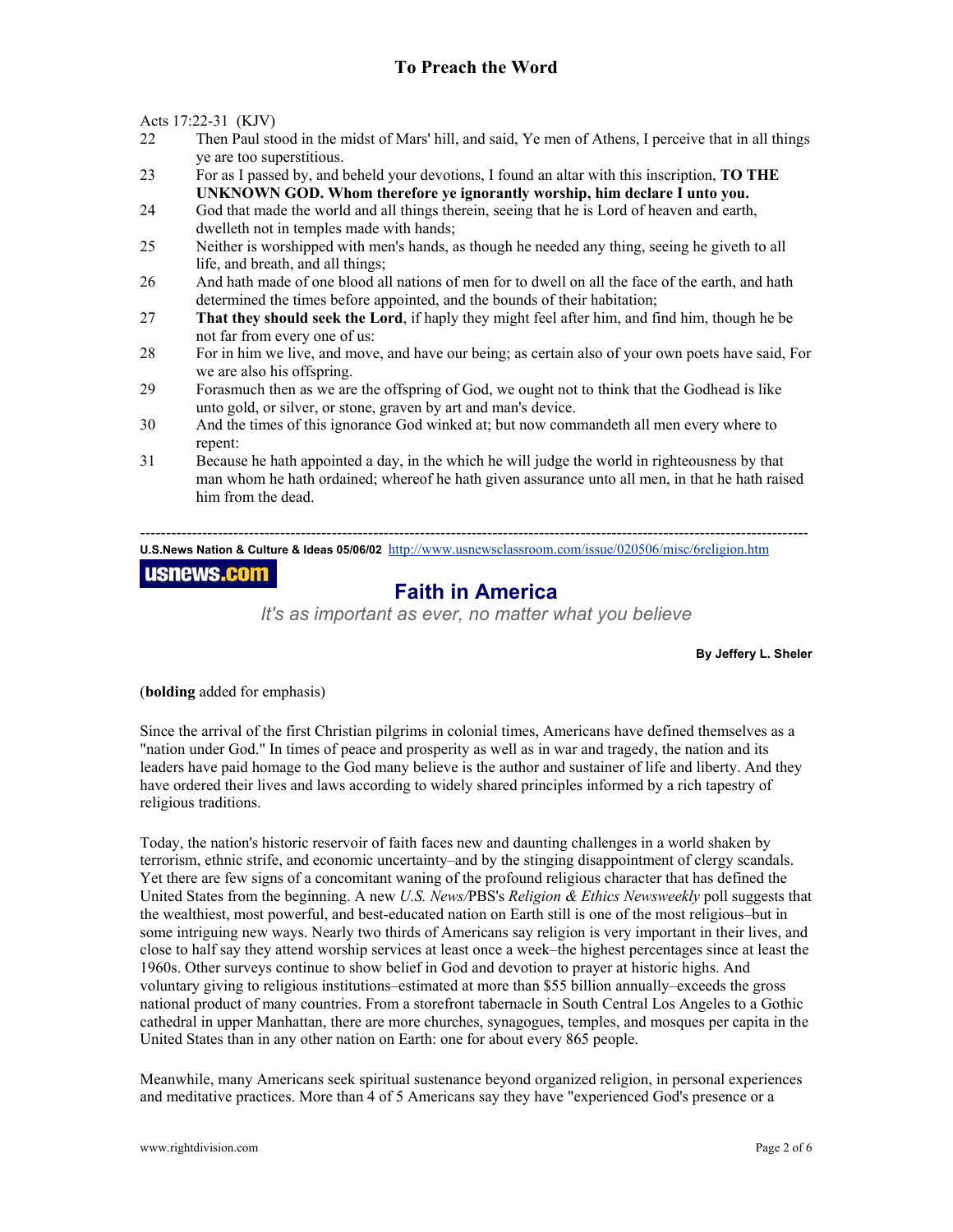Acts 17:22-31 (KJV)

- 22 Then Paul stood in the midst of Mars' hill, and said, Ye men of Athens, I perceive that in all things ye are too superstitious.
- 23 For as I passed by, and beheld your devotions, I found an altar with this inscription, **TO THE UNKNOWN GOD. Whom therefore ye ignorantly worship, him declare I unto you.**
- 24 God that made the world and all things therein, seeing that he is Lord of heaven and earth, dwelleth not in temples made with hands;
- 25 Neither is worshipped with men's hands, as though he needed any thing, seeing he giveth to all life, and breath, and all things;
- 26 And hath made of one blood all nations of men for to dwell on all the face of the earth, and hath determined the times before appointed, and the bounds of their habitation;
- 27 **That they should seek the Lord**, if haply they might feel after him, and find him, though he be not far from every one of us:
- 28 For in him we live, and move, and have our being; as certain also of your own poets have said, For we are also his offspring.
- 29 Forasmuch then as we are the offspring of God, we ought not to think that the Godhead is like unto gold, or silver, or stone, graven by art and man's device.
- 30 And the times of this ignorance God winked at; but now commandeth all men every where to repent:
- 31 Because he hath appointed a day, in the which he will judge the world in righteousness by that man whom he hath ordained; whereof he hath given assurance unto all men, in that he hath raised him from the dead.

--------------------------------------------------------------------------------------------------------------------------------- **U.S.News Nation & Culture & Ideas 05/06/02** <http://www.usnewsclassroom.com/issue/020506/misc/6religion.htm>

## usnews.com

# **Faith in America**

*It's as important as ever, no matter what you believe*

**By Jeffery L. Sheler** 

(**bolding** added for emphasis)

Since the arrival of the first Christian pilgrims in colonial times, Americans have defined themselves as a "nation under God." In times of peace and prosperity as well as in war and tragedy, the nation and its leaders have paid homage to the God many believe is the author and sustainer of life and liberty. And they have ordered their lives and laws according to widely shared principles informed by a rich tapestry of religious traditions.

Today, the nation's historic reservoir of faith faces new and daunting challenges in a world shaken by terrorism, ethnic strife, and economic uncertainty–and by the stinging disappointment of clergy scandals. Yet there are few signs of a concomitant waning of the profound religious character that has defined the United States from the beginning. A new *U.S. News/*PBS's *Religion & Ethics Newsweekly* poll suggests that the wealthiest, most powerful, and best-educated nation on Earth still is one of the most religious–but in some intriguing new ways. Nearly two thirds of Americans say religion is very important in their lives, and close to half say they attend worship services at least once a week–the highest percentages since at least the 1960s. Other surveys continue to show belief in God and devotion to prayer at historic highs. And voluntary giving to religious institutions–estimated at more than \$55 billion annually–exceeds the gross national product of many countries. From a storefront tabernacle in South Central Los Angeles to a Gothic cathedral in upper Manhattan, there are more churches, synagogues, temples, and mosques per capita in the United States than in any other nation on Earth: one for about every 865 people.

Meanwhile, many Americans seek spiritual sustenance beyond organized religion, in personal experiences and meditative practices. More than 4 of 5 Americans say they have "experienced God's presence or a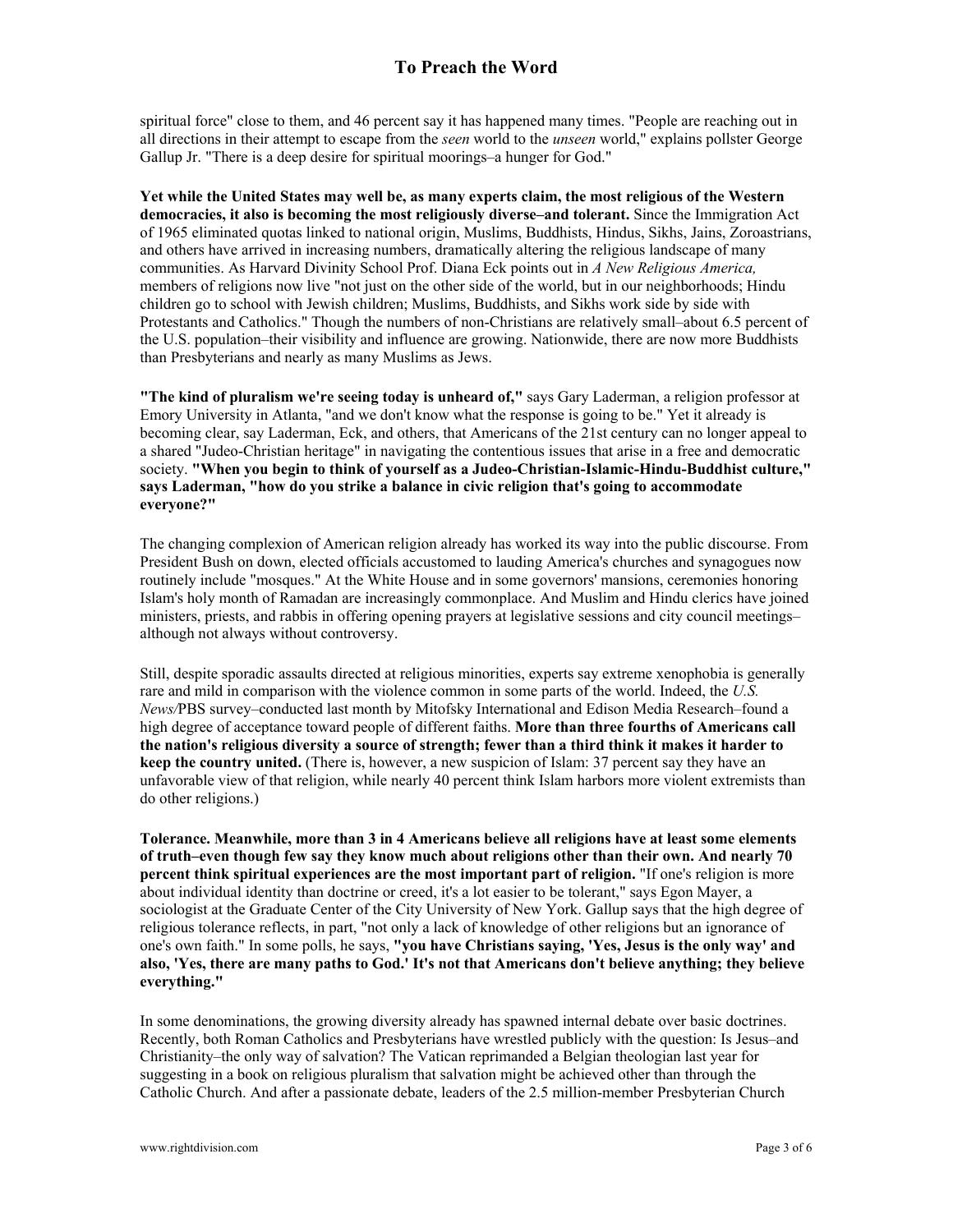spiritual force" close to them, and 46 percent say it has happened many times. "People are reaching out in all directions in their attempt to escape from the *seen* world to the *unseen* world," explains pollster George Gallup Jr. "There is a deep desire for spiritual moorings–a hunger for God."

**Yet while the United States may well be, as many experts claim, the most religious of the Western democracies, it also is becoming the most religiously diverse–and tolerant.** Since the Immigration Act of 1965 eliminated quotas linked to national origin, Muslims, Buddhists, Hindus, Sikhs, Jains, Zoroastrians, and others have arrived in increasing numbers, dramatically altering the religious landscape of many communities. As Harvard Divinity School Prof. Diana Eck points out in *A New Religious America,* members of religions now live "not just on the other side of the world, but in our neighborhoods; Hindu children go to school with Jewish children; Muslims, Buddhists, and Sikhs work side by side with Protestants and Catholics." Though the numbers of non-Christians are relatively small–about 6.5 percent of the U.S. population–their visibility and influence are growing. Nationwide, there are now more Buddhists than Presbyterians and nearly as many Muslims as Jews.

**"The kind of pluralism we're seeing today is unheard of,"** says Gary Laderman, a religion professor at Emory University in Atlanta, "and we don't know what the response is going to be." Yet it already is becoming clear, say Laderman, Eck, and others, that Americans of the 21st century can no longer appeal to a shared "Judeo-Christian heritage" in navigating the contentious issues that arise in a free and democratic society. **"When you begin to think of yourself as a Judeo-Christian-Islamic-Hindu-Buddhist culture," says Laderman, "how do you strike a balance in civic religion that's going to accommodate everyone?"**

The changing complexion of American religion already has worked its way into the public discourse. From President Bush on down, elected officials accustomed to lauding America's churches and synagogues now routinely include "mosques." At the White House and in some governors' mansions, ceremonies honoring Islam's holy month of Ramadan are increasingly commonplace. And Muslim and Hindu clerics have joined ministers, priests, and rabbis in offering opening prayers at legislative sessions and city council meetings– although not always without controversy.

Still, despite sporadic assaults directed at religious minorities, experts say extreme xenophobia is generally rare and mild in comparison with the violence common in some parts of the world. Indeed, the *U.S. News/*PBS survey–conducted last month by Mitofsky International and Edison Media Research–found a high degree of acceptance toward people of different faiths. **More than three fourths of Americans call the nation's religious diversity a source of strength; fewer than a third think it makes it harder to keep the country united.** (There is, however, a new suspicion of Islam: 37 percent say they have an unfavorable view of that religion, while nearly 40 percent think Islam harbors more violent extremists than do other religions.)

**Tolerance. Meanwhile, more than 3 in 4 Americans believe all religions have at least some elements of truth–even though few say they know much about religions other than their own. And nearly 70 percent think spiritual experiences are the most important part of religion.** "If one's religion is more about individual identity than doctrine or creed, it's a lot easier to be tolerant," says Egon Mayer, a sociologist at the Graduate Center of the City University of New York. Gallup says that the high degree of religious tolerance reflects, in part, "not only a lack of knowledge of other religions but an ignorance of one's own faith." In some polls, he says, **"you have Christians saying, 'Yes, Jesus is the only way' and also, 'Yes, there are many paths to God.' It's not that Americans don't believe anything; they believe everything."** 

In some denominations, the growing diversity already has spawned internal debate over basic doctrines. Recently, both Roman Catholics and Presbyterians have wrestled publicly with the question: Is Jesus–and Christianity–the only way of salvation? The Vatican reprimanded a Belgian theologian last year for suggesting in a book on religious pluralism that salvation might be achieved other than through the Catholic Church. And after a passionate debate, leaders of the 2.5 million-member Presbyterian Church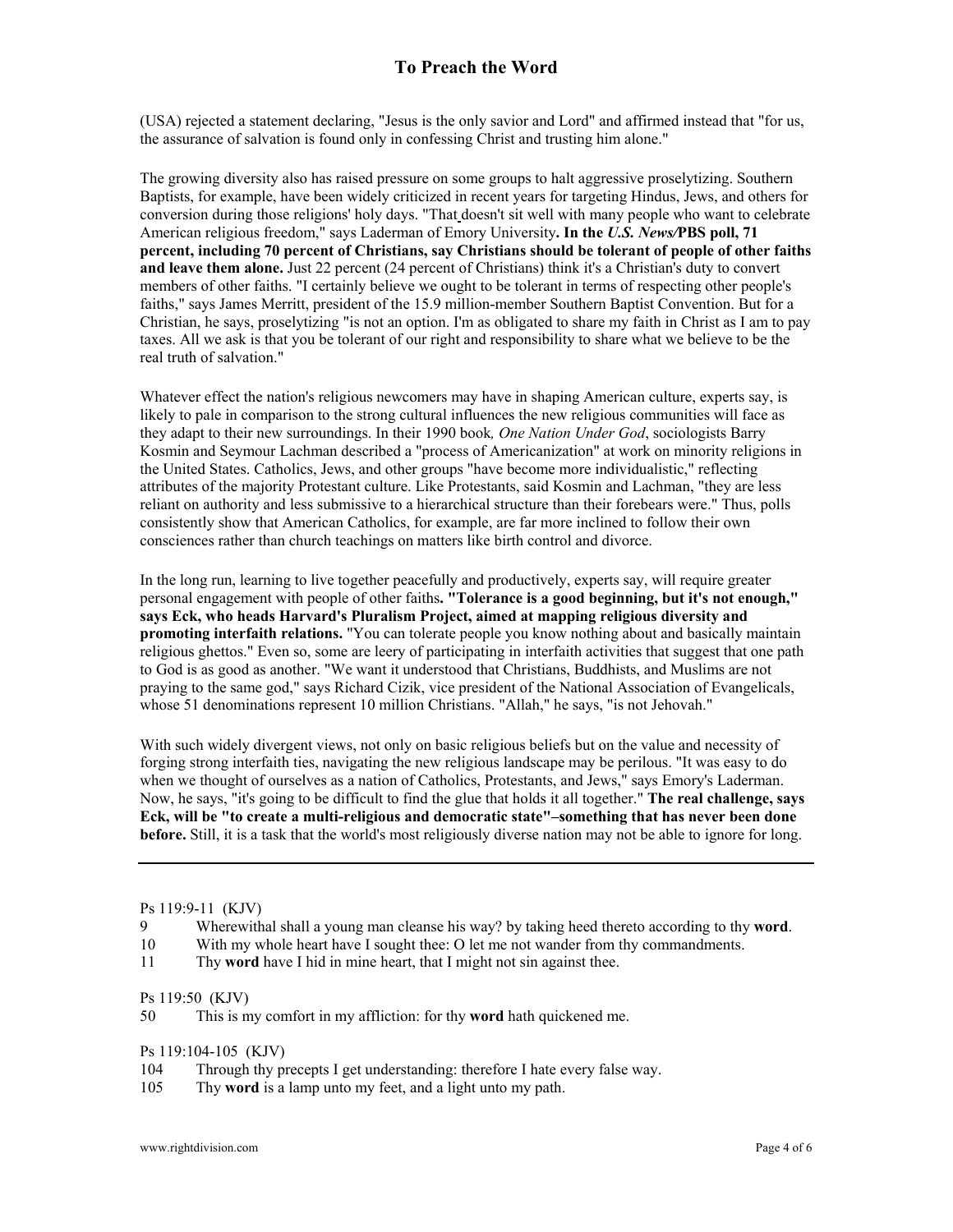## **To Preach the Word**

(USA) rejected a statement declaring, "Jesus is the only savior and Lord" and affirmed instead that "for us, the assurance of salvation is found only in confessing Christ and trusting him alone."

The growing diversity also has raised pressure on some groups to halt aggressive proselytizing. Southern Baptists, for example, have been widely criticized in recent years for targeting Hindus, Jews, and others for conversion during those religions' holy days. "That doesn't sit well with many people who want to celebrate American religious freedom," says Laderman of Emory University**. In the** *U.S. News/***PBS poll, 71 percent, including 70 percent of Christians, say Christians should be tolerant of people of other faiths and leave them alone.** Just 22 percent (24 percent of Christians) think it's a Christian's duty to convert members of other faiths. "I certainly believe we ought to be tolerant in terms of respecting other people's faiths," says James Merritt, president of the 15.9 million-member Southern Baptist Convention. But for a Christian, he says, proselytizing "is not an option. I'm as obligated to share my faith in Christ as I am to pay taxes. All we ask is that you be tolerant of our right and responsibility to share what we believe to be the real truth of salvation."

Whatever effect the nation's religious newcomers may have in shaping American culture, experts say, is likely to pale in comparison to the strong cultural influences the new religious communities will face as they adapt to their new surroundings. In their 1990 book*, One Nation Under God*, sociologists Barry Kosmin and Seymour Lachman described a "process of Americanization" at work on minority religions in the United States. Catholics, Jews, and other groups "have become more individualistic," reflecting attributes of the majority Protestant culture. Like Protestants, said Kosmin and Lachman, "they are less reliant on authority and less submissive to a hierarchical structure than their forebears were." Thus, polls consistently show that American Catholics, for example, are far more inclined to follow their own consciences rather than church teachings on matters like birth control and divorce.

In the long run, learning to live together peacefully and productively, experts say, will require greater personal engagement with people of other faiths**. "Tolerance is a good beginning, but it's not enough," says Eck, who heads Harvard's Pluralism Project, aimed at mapping religious diversity and promoting interfaith relations.** "You can tolerate people you know nothing about and basically maintain religious ghettos." Even so, some are leery of participating in interfaith activities that suggest that one path to God is as good as another. "We want it understood that Christians, Buddhists, and Muslims are not praying to the same god," says Richard Cizik, vice president of the National Association of Evangelicals, whose 51 denominations represent 10 million Christians. "Allah," he says, "is not Jehovah."

With such widely divergent views, not only on basic religious beliefs but on the value and necessity of forging strong interfaith ties, navigating the new religious landscape may be perilous. "It was easy to do when we thought of ourselves as a nation of Catholics, Protestants, and Jews," says Emory's Laderman. Now, he says, "it's going to be difficult to find the glue that holds it all together." **The real challenge, says Eck, will be "to create a multi-religious and democratic state"–something that has never been done before.** Still, it is a task that the world's most religiously diverse nation may not be able to ignore for long.

#### Ps 119:9-11 (KJV)

- 9 Wherewithal shall a young man cleanse his way? by taking heed thereto according to thy **word**.
- 10 With my whole heart have I sought thee: O let me not wander from thy commandments.
- 11 Thy **word** have I hid in mine heart, that I might not sin against thee.

#### Ps 119:50 (KJV)

50 This is my comfort in my affliction: for thy **word** hath quickened me.

Ps 119:104-105 (KJV)

- 104 Through thy precepts I get understanding: therefore I hate every false way.
- 105 Thy **word** is a lamp unto my feet, and a light unto my path.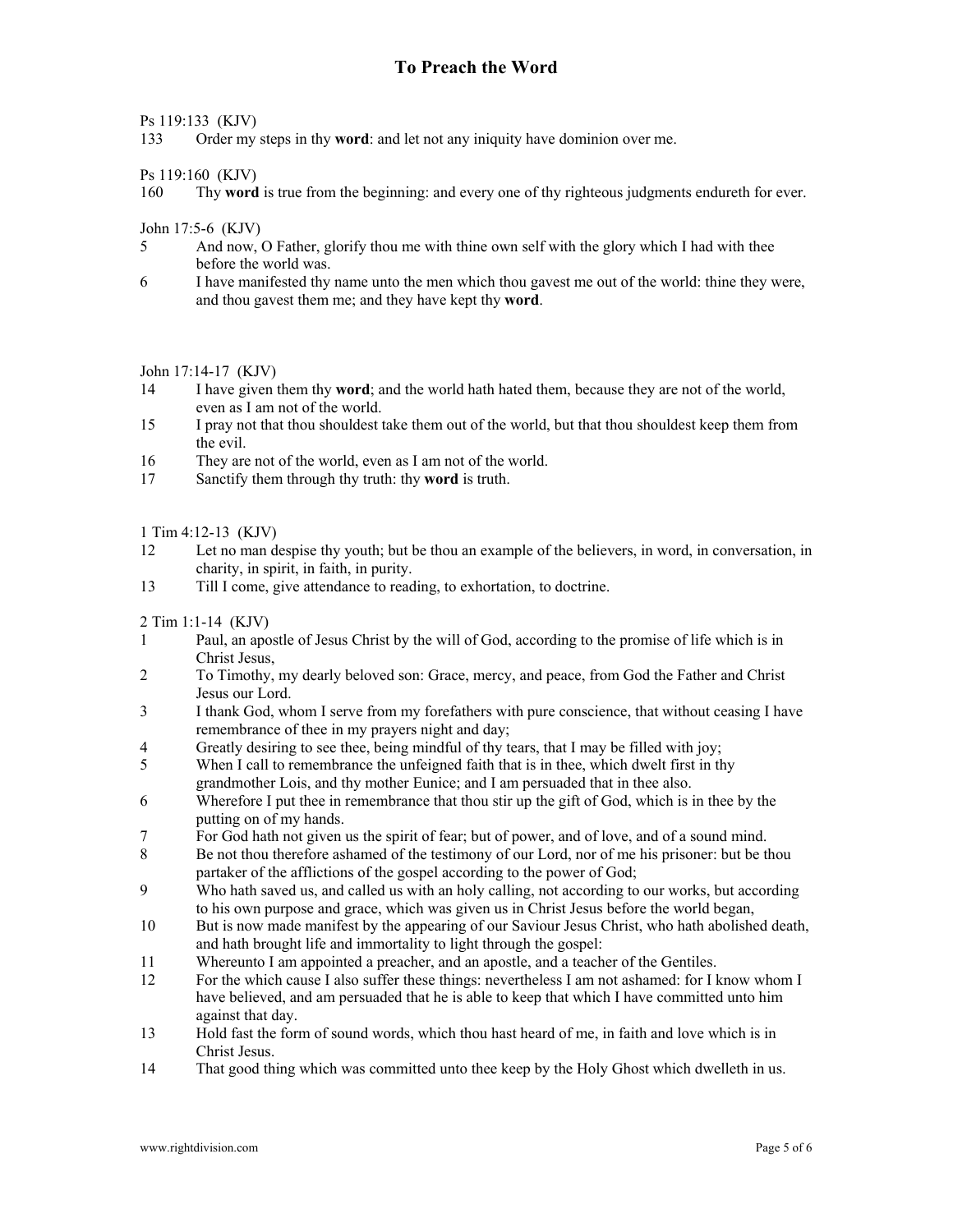### Ps 119:133 (KJV)

133 Order my steps in thy **word**: and let not any iniquity have dominion over me.

Ps 119:160 (KJV)

160 Thy **word** is true from the beginning: and every one of thy righteous judgments endureth for ever.

John 17:5-6 (KJV)

- 5 And now, O Father, glorify thou me with thine own self with the glory which I had with thee before the world was.
- 6 I have manifested thy name unto the men which thou gavest me out of the world: thine they were, and thou gavest them me; and they have kept thy **word**.

John 17:14-17 (KJV)

- 14 I have given them thy **word**; and the world hath hated them, because they are not of the world, even as I am not of the world.
- 15 I pray not that thou shouldest take them out of the world, but that thou shouldest keep them from the evil.
- 16 They are not of the world, even as I am not of the world.
- 17 Sanctify them through thy truth: thy **word** is truth.

1 Tim 4:12-13 (KJV)

- 12 Let no man despise thy youth; but be thou an example of the believers, in word, in conversation, in charity, in spirit, in faith, in purity.
- 13 Till I come, give attendance to reading, to exhortation, to doctrine.

2 Tim 1:1-14 (KJV)

- 1 Paul, an apostle of Jesus Christ by the will of God, according to the promise of life which is in Christ Jesus,
- 2 To Timothy, my dearly beloved son: Grace, mercy, and peace, from God the Father and Christ Jesus our Lord.
- 3 I thank God, whom I serve from my forefathers with pure conscience, that without ceasing I have remembrance of thee in my prayers night and day;
- 4 Greatly desiring to see thee, being mindful of thy tears, that I may be filled with joy;
- 5 When I call to remembrance the unfeigned faith that is in thee, which dwelt first in thy grandmother Lois, and thy mother Eunice; and I am persuaded that in thee also.
- 6 Wherefore I put thee in remembrance that thou stir up the gift of God, which is in thee by the putting on of my hands.
- 7 For God hath not given us the spirit of fear; but of power, and of love, and of a sound mind.
- 8 Be not thou therefore ashamed of the testimony of our Lord, nor of me his prisoner: but be thou partaker of the afflictions of the gospel according to the power of God;
- 9 Who hath saved us, and called us with an holy calling, not according to our works, but according to his own purpose and grace, which was given us in Christ Jesus before the world began,
- 10 But is now made manifest by the appearing of our Saviour Jesus Christ, who hath abolished death, and hath brought life and immortality to light through the gospel:
- 11 Whereunto I am appointed a preacher, and an apostle, and a teacher of the Gentiles.
- 12 For the which cause I also suffer these things: nevertheless I am not ashamed: for I know whom I have believed, and am persuaded that he is able to keep that which I have committed unto him against that day.
- 13 Hold fast the form of sound words, which thou hast heard of me, in faith and love which is in Christ Jesus.
- 14 That good thing which was committed unto thee keep by the Holy Ghost which dwelleth in us.